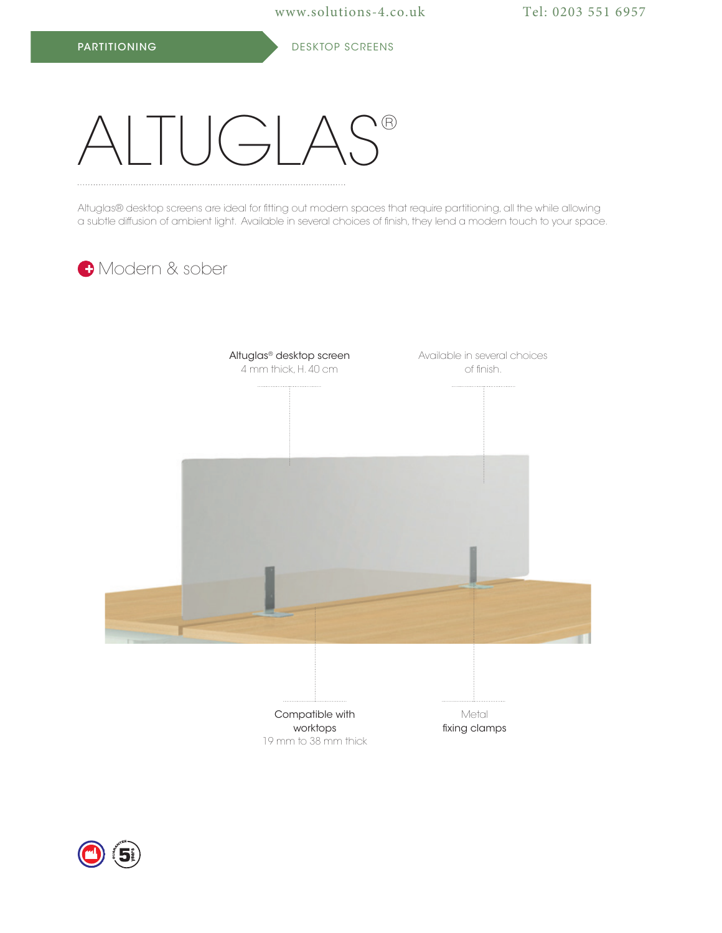## $U\cap A S^{\circ}$

Altuglas® desktop screens are ideal for fitting out modern spaces that require partitioning, all the while allowing a subtle diffusion of ambient light. Available in several choices of finish, they lend a modern touch to your space.